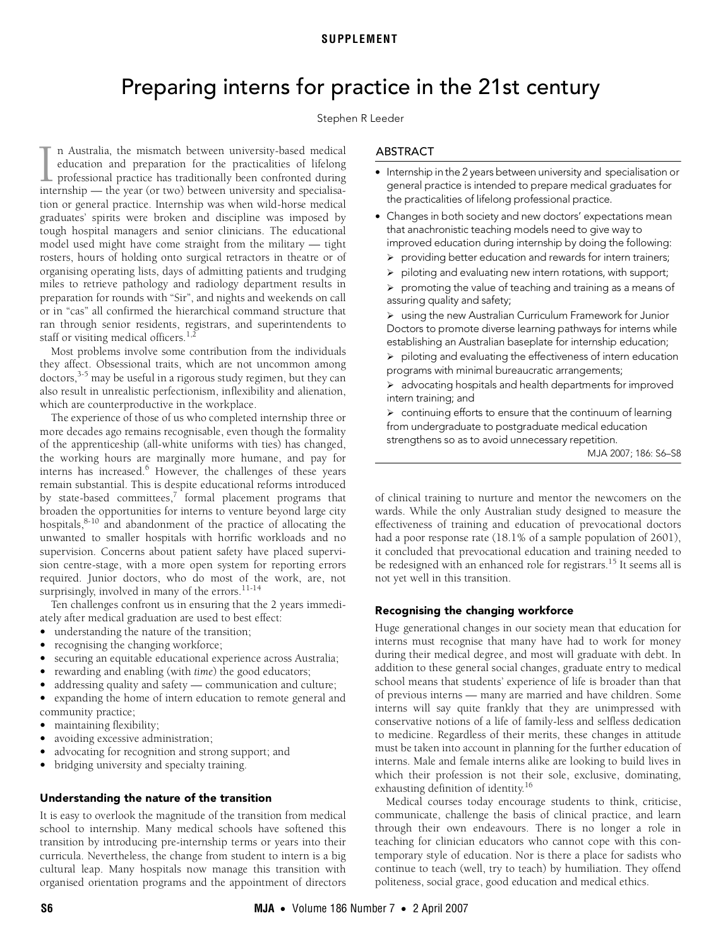# Preparing interns for practice in the 21st century

#### Stephen R Leeder

<span id="page-0-0"></span>organising operating lists, days of admitting patients and trudging  $\frac{1}{2}$  and  $\frac{1}{2}$  and  $\frac{1}{2}$   $\frac{1}{2}$   $\frac{1}{2}$   $\frac{1}{2}$   $\frac{1}{2}$   $\frac{1}{2}$ preparation for rounds with "Sir", and nights and weekends on call or in "cas" all confirmed the hierarchical command structure that ran through senior residents, registrars, and superintendents to n Australia, the mismatch between university-based medical education and preparation for the practicalities of lifelong professional practice has traditionally been confronted during In Australia, the mismatch between university-based medical education and preparation for the practicalities of lifelong professional practice has traditionally been confronted during internship — the year (or two) between tion or general practice. Internship was when wild-horse medical graduates' spirits were broken and discipline was imposed by tough hospital managers and senior clinicians. The educational model used might have come straight from the military — tight rosters, hours of holding onto surgical retractors in theatre or of miles to retrieve pathology a[n](#page-0-0)[d](#page-2-11) radiology department results in staff or visiting medical officers.<sup>[1](#page-2-0)[,2](#page-2-1)</sup>

Most problems involve some contribution from the individuals they affect. Obsessional traits, which are not uncommon among  $dotors<sup>3-5</sup>$  $dotors<sup>3-5</sup>$  $dotors<sup>3-5</sup>$  may be useful in a rigorous study regimen, but they can also result in unrealistic perfectionism, inflexibility and alienation, which are counterproductive in the workplace.

The experience of those of us who completed internship three or more decades ago remains recognisable, even though the formality of the apprenticeship (all-white uniforms with ties) has changed, the working hours are marginally more humane, and pay for interns has increased.<sup>[6](#page-2-4)</sup> However, the challenges of these years remain substantial. This is despite educational reforms introduced by state-based committees,<sup>7</sup> formal placement programs that broaden the opportunities for interns to venture beyond large city hospitals, $8-10$  and abandonment of the practice of allocating the unwanted to smaller hospitals with horrific workloads and no supervision. Concerns about patient safety have placed supervision centre-stage, with a more open system for reporting errors required. Junior doctors, who do most of the work, are, not surprisingly, involved in many of the errors. $11-14$  $11-14$ 

Ten challenges confront us in ensuring that the 2 years immediately after medical graduation are used to best effect:

- understanding the nature of the transition;
- recognising the changing workforce;
- securing an equitable educational experience across Australia;
- rewarding and enabling (with *time*) the good educators;
- addressing quality and safety communication and culture;
- expanding the home of intern education to remote general and community practice;
- maintaining flexibility;
- avoiding excessive administration;
- advocating for recognition and strong support; and
- bridging university and specialty training.

#### Understanding the nature of the transition

It is easy to overlook the magnitude of the transition from medical school to internship. Many medical schools have softened this transition by introducing pre-internship terms or years into their curricula. Nevertheless, the change from student to intern is a big cultural leap. Many hospitals now manage this transition with organised orientation programs and the appointment of directors

#### ABSTRACT

- Internship in the 2 years between university and specialisation or general practice is intended to prepare medical graduates for the practicalities of lifelong professional practice.
- Changes in both society and new doctors' expectations mean that anachronistic teaching models need to give way to improved education during internship by doing the following:
	- $\triangleright$  providing better education and rewards for intern trainers;
	- $\triangleright$  piloting and evaluating new intern rotations, with support;
	- $\triangleright$  promoting the value of teaching and training as a means of assuring quality and safety;

 $\triangleright$  using the new Australian Curriculum Framework for Junior Doctors to promote diverse learning pathways for interns while establishing an Australian baseplate for internship education;

- $\triangleright$  piloting and evaluating the effectiveness of intern education programs with minimal bureaucratic arrangements;
- ¾ advocating hospitals and health departments for improved intern training; and

 $\triangleright$  continuing efforts to ensure that the continuum of learning from undergraduate to postgraduate medical education strengthens so as to avoid unnecessary repetition.

MJA 2007; 186: S6–S8

of clinical training to nurture and mentor the newcomers on the wards. While the only Australian study designed to measure the effectiveness of training and education of prevocational doctors had a poor response rate (18.1% of a sample population of 2601), it concluded that prevocational education and training needed to be redesigned with an enhanced role for registrars.<sup>15</sup> It seems all is not yet well in this transition.

#### Recognising the changing workforce

Huge generational changes in our society mean that education for interns must recognise that many have had to work for money during their medical degree, and most will graduate with debt. In addition to these general social changes, graduate entry to medical school means that students' experience of life is broader than that of previous interns — many are married and have children. Some interns will say quite frankly that they are unimpressed with conservative notions of a life of family-less and selfless dedication to medicine. Regardless of their merits, these changes in attitude must be taken into account in planning for the further education of interns. Male and female interns alike are looking to build lives in which their profession is not their sole, exclusive, dominating, exhausting definition of identity.[16](#page-2-10)

Medical courses today encourage students to think, criticise, communicate, challenge the basis of clinical practice, and learn through their own endeavours. There is no longer a role in teaching for clinician educators who cannot cope with this contemporary style of education. Nor is there a place for sadists who continue to teach (well, try to teach) by humiliation. They offend politeness, social grace, good education and medical ethics.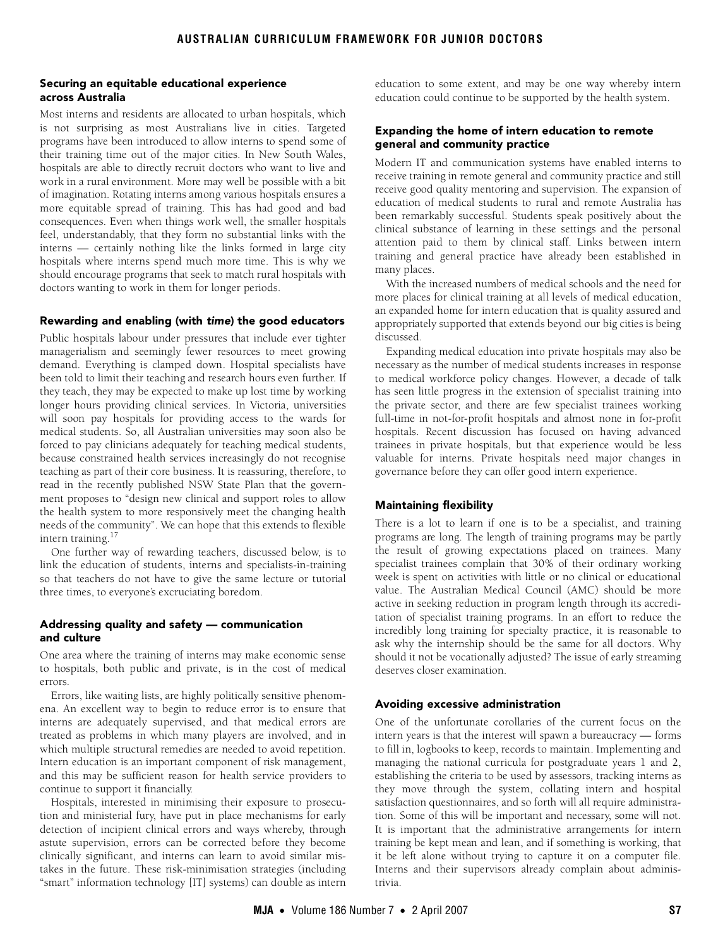#### Securing an equitable educational experience across Australia

Most interns and residents are allocated to urban hospitals, which is not surprising as most Australians live in cities. Targeted programs have been introduced to allow interns to spend some of their training time out of the major cities. In New South Wales, hospitals are able to directly recruit doctors who want to live and work in a rural environment. More may well be possible with a bit of imagination. Rotating interns among various hospitals ensures a more equitable spread of training. This has had good and bad consequences. Even when things work well, the smaller hospitals feel, understandably, that they form no substantial links with the interns — certainly nothing like the links formed in large city hospitals where interns spend much more time. This is why we should encourage programs that seek to match rural hospitals with doctors wanting to work in them for longer periods.

## Rewarding and enabling (with time) the good educators

Public hospitals labour under pressures that include ever tighter managerialism and seemingly fewer resources to meet growing demand. Everything is clamped down. Hospital specialists have been told to limit their teaching and research hours even further. If they teach, they may be expected to make up lost time by working longer hours providing clinical services. In Victoria, universities will soon pay hospitals for providing access to the wards for medical students. So, all Australian universities may soon also be forced to pay clinicians adequately for teaching medical students, because constrained health services increasingly do not recognise teaching as part of their core business. It is reassuring, therefore, to read in the recently published NSW State Plan that the government proposes to "design new clinical and support roles to allow the health system to more responsively meet the changing health needs of the community". We can hope that this extends to flexible intern training. $17$ 

One further way of rewarding teachers, discussed below, is to link the education of students, interns and specialists-in-training so that teachers do not have to give the same lecture or tutorial three times, to everyone's excruciating boredom.

## Addressing quality and safety — communication and culture

One area where the training of interns may make economic sense to hospitals, both public and private, is in the cost of medical errors.

Errors, like waiting lists, are highly politically sensitive phenomena. An excellent way to begin to reduce error is to ensure that interns are adequately supervised, and that medical errors are treated as problems in which many players are involved, and in which multiple structural remedies are needed to avoid repetition. Intern education is an important component of risk management, and this may be sufficient reason for health service providers to continue to support it financially.

Hospitals, interested in minimising their exposure to prosecution and ministerial fury, have put in place mechanisms for early detection of incipient clinical errors and ways whereby, through astute supervision, errors can be corrected before they become clinically significant, and interns can learn to avoid similar mistakes in the future. These risk-minimisation strategies (including "smart" information technology [IT] systems) can double as intern

education to some extent, and may be one way whereby intern education could continue to be supported by the health system.

## Expanding the home of intern education to remote general and community practice

Modern IT and communication systems have enabled interns to receive training in remote general and community practice and still receive good quality mentoring and supervision. The expansion of education of medical students to rural and remote Australia has been remarkably successful. Students speak positively about the clinical substance of learning in these settings and the personal attention paid to them by clinical staff. Links between intern training and general practice have already been established in many places.

With the increased numbers of medical schools and the need for more places for clinical training at all levels of medical education, an expanded home for intern education that is quality assured and appropriately supported that extends beyond our big cities is being discussed.

Expanding medical education into private hospitals may also be necessary as the number of medical students increases in response to medical workforce policy changes. However, a decade of talk has seen little progress in the extension of specialist training into the private sector, and there are few specialist trainees working full-time in not-for-profit hospitals and almost none in for-profit hospitals. Recent discussion has focused on having advanced trainees in private hospitals, but that experience would be less valuable for interns. Private hospitals need major changes in governance before they can offer good intern experience.

## Maintaining flexibility

There is a lot to learn if one is to be a specialist, and training programs are long. The length of training programs may be partly the result of growing expectations placed on trainees. Many specialist trainees complain that 30% of their ordinary working week is spent on activities with little or no clinical or educational value. The Australian Medical Council (AMC) should be more active in seeking reduction in program length through its accreditation of specialist training programs. In an effort to reduce the incredibly long training for specialty practice, it is reasonable to ask why the internship should be the same for all doctors. Why should it not be vocationally adjusted? The issue of early streaming deserves closer examination.

## Avoiding excessive administration

One of the unfortunate corollaries of the current focus on the intern years is that the interest will spawn a bureaucracy — forms to fill in, logbooks to keep, records to maintain. Implementing and managing the national curricula for postgraduate years 1 and 2, establishing the criteria to be used by assessors, tracking interns as they move through the system, collating intern and hospital satisfaction questionnaires, and so forth will all require administration. Some of this will be important and necessary, some will not. It is important that the administrative arrangements for intern training be kept mean and lean, and if something is working, that it be left alone without trying to capture it on a computer file. Interns and their supervisors already complain about administrivia.